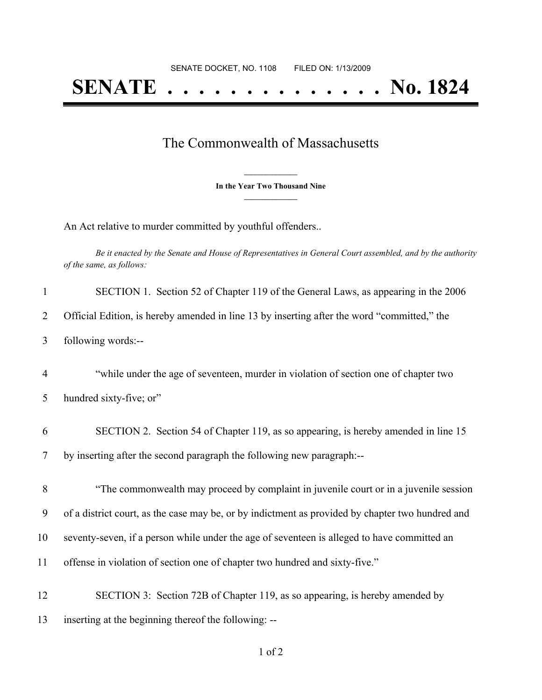## The Commonwealth of Massachusetts

**\_\_\_\_\_\_\_\_\_\_\_\_\_\_\_ In the Year Two Thousand Nine \_\_\_\_\_\_\_\_\_\_\_\_\_\_\_**

An Act relative to murder committed by youthful offenders..

Be it enacted by the Senate and House of Representatives in General Court assembled, and by the authority *of the same, as follows:*

| $\mathbf{1}$   | SECTION 1. Section 52 of Chapter 119 of the General Laws, as appearing in the 2006               |
|----------------|--------------------------------------------------------------------------------------------------|
| $\overline{2}$ | Official Edition, is hereby amended in line 13 by inserting after the word "committed," the      |
| $\overline{3}$ | following words:--                                                                               |
| $\overline{4}$ | "while under the age of seventeen, murder in violation of section one of chapter two             |
| 5              | hundred sixty-five; or"                                                                          |
| 6              | SECTION 2. Section 54 of Chapter 119, as so appearing, is hereby amended in line 15              |
| $\overline{7}$ | by inserting after the second paragraph the following new paragraph:--                           |
| 8              | "The commonwealth may proceed by complaint in juvenile court or in a juvenile session            |
| 9              | of a district court, as the case may be, or by indictment as provided by chapter two hundred and |
| 10             | seventy-seven, if a person while under the age of seventeen is alleged to have committed an      |
| 11             | offense in violation of section one of chapter two hundred and sixty-five."                      |
| 12             | SECTION 3: Section 72B of Chapter 119, as so appearing, is hereby amended by                     |
| 13             | inserting at the beginning thereof the following: --                                             |